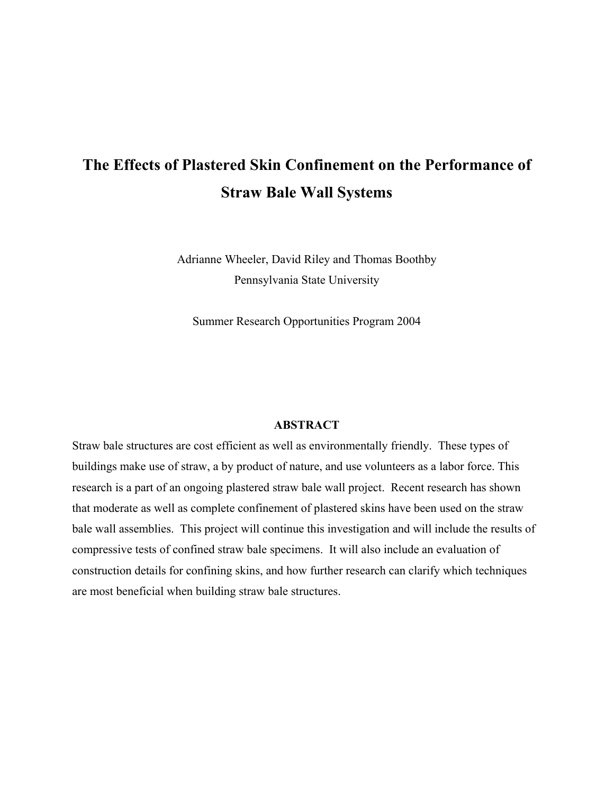# **The Effects of Plastered Skin Confinement on the Performance of Straw Bale Wall Systems**

Adrianne Wheeler, David Riley and Thomas Boothby Pennsylvania State University

Summer Research Opportunities Program 2004

#### **ABSTRACT**

Straw bale structures are cost efficient as well as environmentally friendly. These types of buildings make use of straw, a by product of nature, and use volunteers as a labor force. This research is a part of an ongoing plastered straw bale wall project. Recent research has shown that moderate as well as complete confinement of plastered skins have been used on the straw bale wall assemblies. This project will continue this investigation and will include the results of compressive tests of confined straw bale specimens. It will also include an evaluation of construction details for confining skins, and how further research can clarify which techniques are most beneficial when building straw bale structures.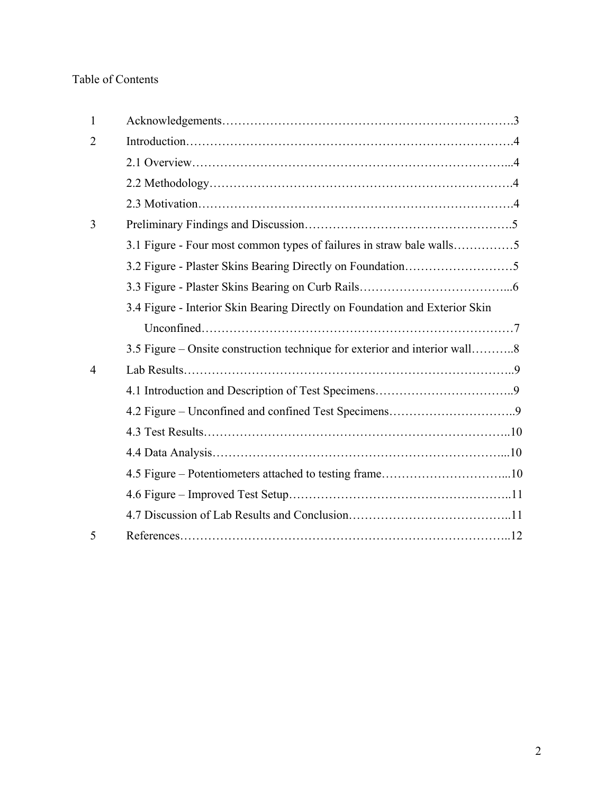## Table of Contents

| 1 |                                                                             |
|---|-----------------------------------------------------------------------------|
| 2 |                                                                             |
|   |                                                                             |
|   |                                                                             |
|   |                                                                             |
| 3 |                                                                             |
|   | 3.1 Figure - Four most common types of failures in straw bale walls5        |
|   |                                                                             |
|   |                                                                             |
|   | 3.4 Figure - Interior Skin Bearing Directly on Foundation and Exterior Skin |
|   |                                                                             |
|   | 3.5 Figure – Onsite construction technique for exterior and interior wall8  |
| 4 |                                                                             |
|   |                                                                             |
|   |                                                                             |
|   |                                                                             |
|   |                                                                             |
|   |                                                                             |
|   |                                                                             |
|   |                                                                             |
| 5 |                                                                             |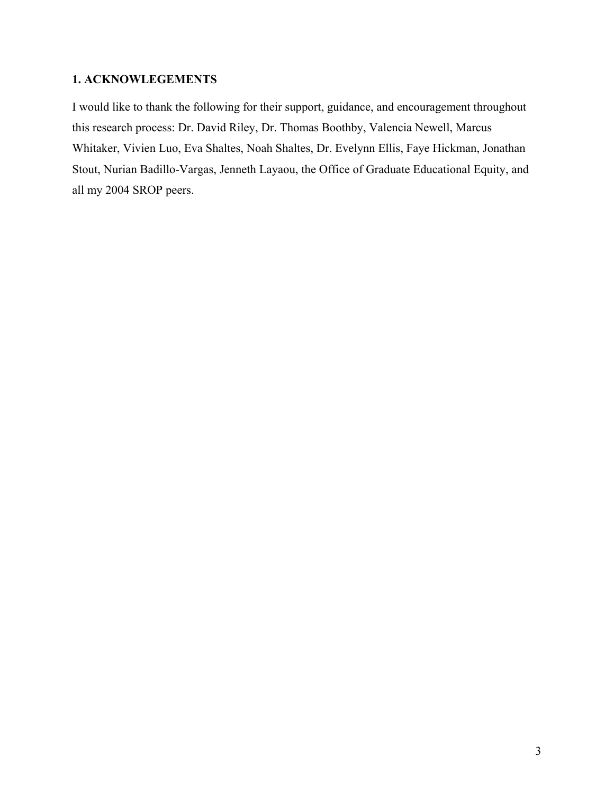## **1. ACKNOWLEGEMENTS**

I would like to thank the following for their support, guidance, and encouragement throughout this research process: Dr. David Riley, Dr. Thomas Boothby, Valencia Newell, Marcus Whitaker, Vivien Luo, Eva Shaltes, Noah Shaltes, Dr. Evelynn Ellis, Faye Hickman, Jonathan Stout, Nurian Badillo-Vargas, Jenneth Layaou, the Office of Graduate Educational Equity, and all my 2004 SROP peers.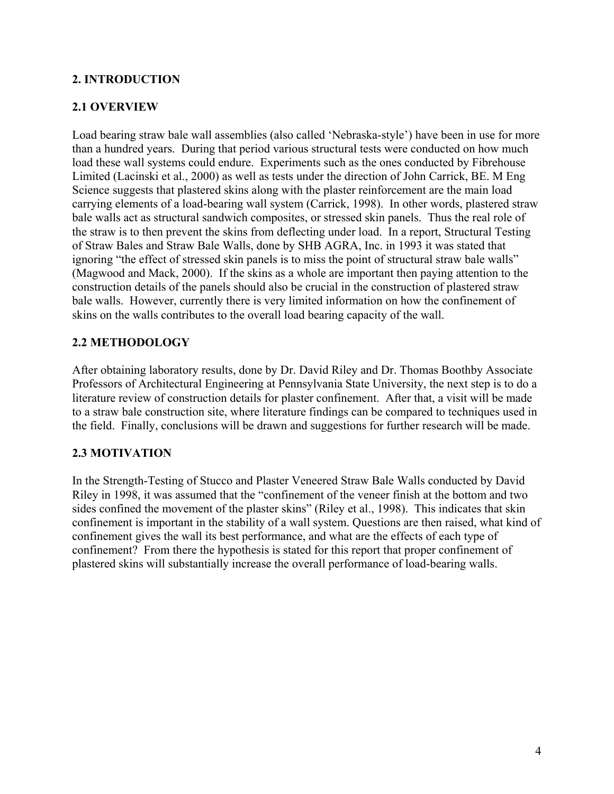## **2. INTRODUCTION**

## **2.1 OVERVIEW**

Load bearing straw bale wall assemblies (also called 'Nebraska-style') have been in use for more than a hundred years. During that period various structural tests were conducted on how much load these wall systems could endure. Experiments such as the ones conducted by Fibrehouse Limited (Lacinski et al., 2000) as well as tests under the direction of John Carrick, BE. M Eng Science suggests that plastered skins along with the plaster reinforcement are the main load carrying elements of a load-bearing wall system (Carrick, 1998). In other words, plastered straw bale walls act as structural sandwich composites, or stressed skin panels. Thus the real role of the straw is to then prevent the skins from deflecting under load. In a report, Structural Testing of Straw Bales and Straw Bale Walls, done by SHB AGRA, Inc. in 1993 it was stated that ignoring "the effect of stressed skin panels is to miss the point of structural straw bale walls" (Magwood and Mack, 2000). If the skins as a whole are important then paying attention to the construction details of the panels should also be crucial in the construction of plastered straw bale walls. However, currently there is very limited information on how the confinement of skins on the walls contributes to the overall load bearing capacity of the wall.

## **2.2 METHODOLOGY**

After obtaining laboratory results, done by Dr. David Riley and Dr. Thomas Boothby Associate Professors of Architectural Engineering at Pennsylvania State University, the next step is to do a literature review of construction details for plaster confinement. After that, a visit will be made to a straw bale construction site, where literature findings can be compared to techniques used in the field. Finally, conclusions will be drawn and suggestions for further research will be made.

## **2.3 MOTIVATION**

In the Strength-Testing of Stucco and Plaster Veneered Straw Bale Walls conducted by David Riley in 1998, it was assumed that the "confinement of the veneer finish at the bottom and two sides confined the movement of the plaster skins" (Riley et al., 1998). This indicates that skin confinement is important in the stability of a wall system. Questions are then raised, what kind of confinement gives the wall its best performance, and what are the effects of each type of confinement? From there the hypothesis is stated for this report that proper confinement of plastered skins will substantially increase the overall performance of load-bearing walls.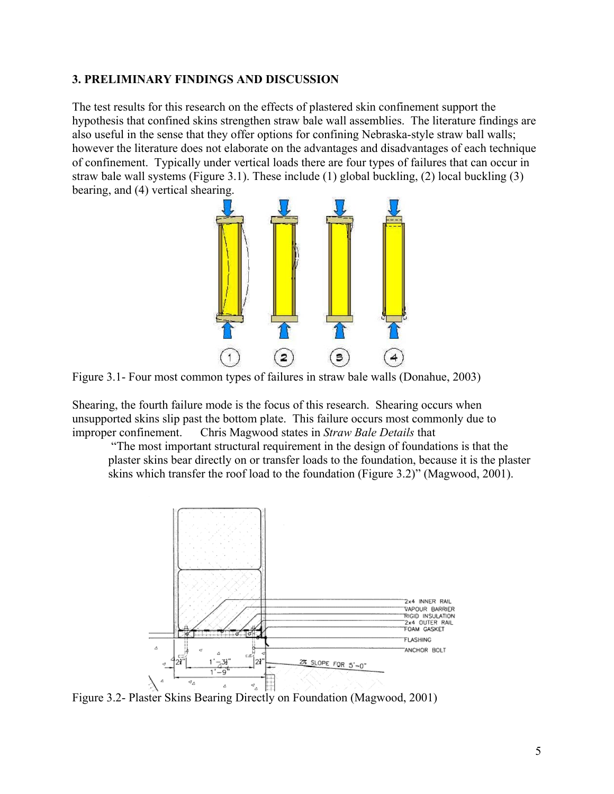#### **3. PRELIMINARY FINDINGS AND DISCUSSION**

The test results for this research on the effects of plastered skin confinement support the hypothesis that confined skins strengthen straw bale wall assemblies. The literature findings are also useful in the sense that they offer options for confining Nebraska-style straw ball walls; however the literature does not elaborate on the advantages and disadvantages of each technique of confinement. Typically under vertical loads there are four types of failures that can occur in straw bale wall systems (Figure 3.1). These include (1) global buckling, (2) local buckling (3) bearing, and (4) vertical shearing.



Figure 3.1- Four most common types of failures in straw bale walls (Donahue, 2003)

Shearing, the fourth failure mode is the focus of this research. Shearing occurs when unsupported skins slip past the bottom plate. This failure occurs most commonly due to improper confinement. Chris Magwood states in *Straw Bale Details* that

 "The most important structural requirement in the design of foundations is that the plaster skins bear directly on or transfer loads to the foundation, because it is the plaster skins which transfer the roof load to the foundation (Figure 3.2)" (Magwood, 2001).



Figure 3.2- Plaster Skins Bearing Directly on Foundation (Magwood, 2001)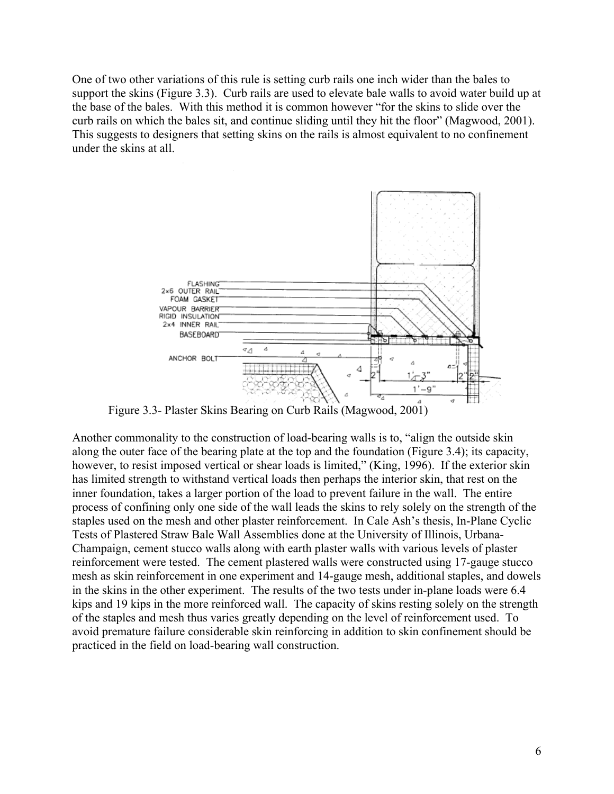One of two other variations of this rule is setting curb rails one inch wider than the bales to support the skins (Figure 3.3). Curb rails are used to elevate bale walls to avoid water build up at the base of the bales. With this method it is common however "for the skins to slide over the curb rails on which the bales sit, and continue sliding until they hit the floor" (Magwood, 2001). This suggests to designers that setting skins on the rails is almost equivalent to no confinement under the skins at all.



Figure 3.3- Plaster Skins Bearing on Curb Rails (Magwood, 2001)

Another commonality to the construction of load-bearing walls is to, "align the outside skin along the outer face of the bearing plate at the top and the foundation (Figure 3.4); its capacity, however, to resist imposed vertical or shear loads is limited," (King, 1996). If the exterior skin has limited strength to withstand vertical loads then perhaps the interior skin, that rest on the inner foundation, takes a larger portion of the load to prevent failure in the wall. The entire process of confining only one side of the wall leads the skins to rely solely on the strength of the staples used on the mesh and other plaster reinforcement. In Cale Ash's thesis, In-Plane Cyclic Tests of Plastered Straw Bale Wall Assemblies done at the University of Illinois, Urbana-Champaign, cement stucco walls along with earth plaster walls with various levels of plaster reinforcement were tested. The cement plastered walls were constructed using 17-gauge stucco mesh as skin reinforcement in one experiment and 14-gauge mesh, additional staples, and dowels in the skins in the other experiment. The results of the two tests under in-plane loads were 6.4 kips and 19 kips in the more reinforced wall. The capacity of skins resting solely on the strength of the staples and mesh thus varies greatly depending on the level of reinforcement used. To avoid premature failure considerable skin reinforcing in addition to skin confinement should be practiced in the field on load-bearing wall construction.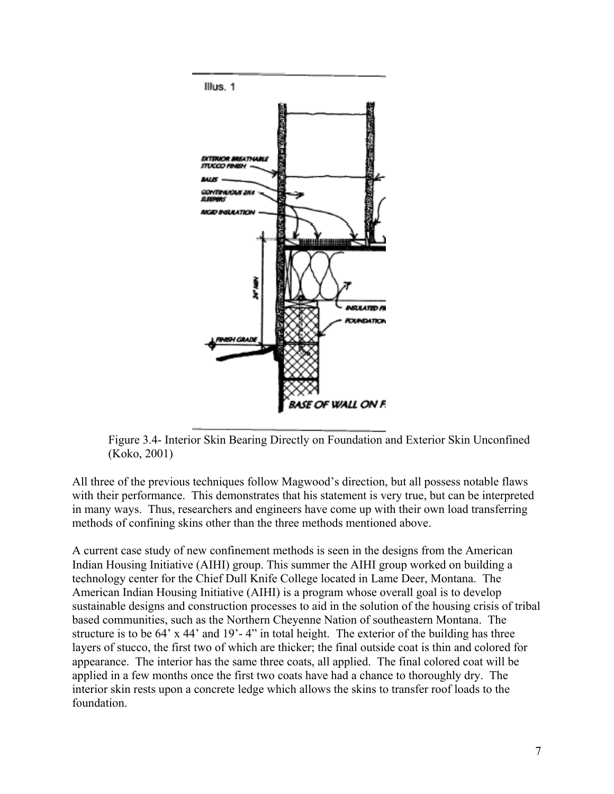

Figure 3.4- Interior Skin Bearing Directly on Foundation and Exterior Skin Unconfined (Koko, 2001)

All three of the previous techniques follow Magwood's direction, but all possess notable flaws with their performance. This demonstrates that his statement is very true, but can be interpreted in many ways. Thus, researchers and engineers have come up with their own load transferring methods of confining skins other than the three methods mentioned above.

A current case study of new confinement methods is seen in the designs from the American Indian Housing Initiative (AIHI) group. This summer the AIHI group worked on building a technology center for the Chief Dull Knife College located in Lame Deer, Montana. The American Indian Housing Initiative (AIHI) is a program whose overall goal is to develop sustainable designs and construction processes to aid in the solution of the housing crisis of tribal based communities, such as the Northern Cheyenne Nation of southeastern Montana. The structure is to be 64' x 44' and 19'-4" in total height. The exterior of the building has three layers of stucco, the first two of which are thicker; the final outside coat is thin and colored for appearance. The interior has the same three coats, all applied. The final colored coat will be applied in a few months once the first two coats have had a chance to thoroughly dry. The interior skin rests upon a concrete ledge which allows the skins to transfer roof loads to the foundation.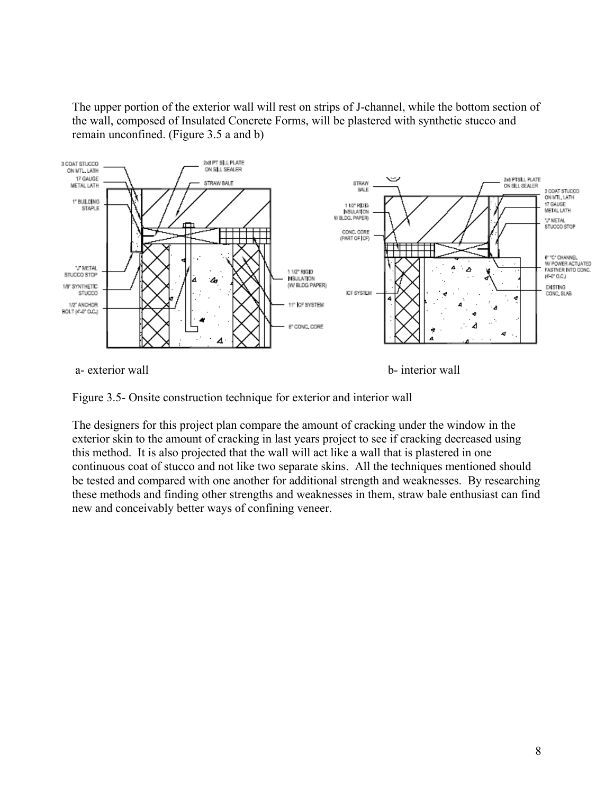The upper portion of the exterior wall will rest on strips of J-channel, while the bottom section of the wall, composed of Insulated Concrete Forms, will be plastered with synthetic stucco and remain unconfined. (Figure 3.5 a and b)



Figure 3.5- Onsite construction technique for exterior and interior wall

The designers for this project plan compare the amount of cracking under the window in the exterior skin to the amount of cracking in last years project to see if cracking decreased using this method. It is also projected that the wall will act like a wall that is plastered in one continuous coat of stucco and not like two separate skins. All the techniques mentioned should be tested and compared with one another for additional strength and weaknesses. By researching these methods and finding other strengths and weaknesses in them, straw bale enthusiast can find new and conceivably better ways of confining veneer.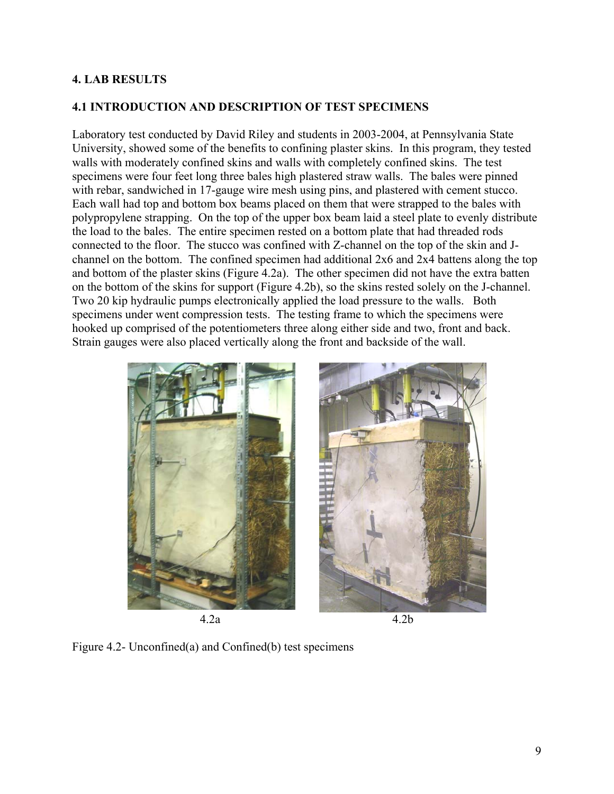## **4. LAB RESULTS**

## **4.1 INTRODUCTION AND DESCRIPTION OF TEST SPECIMENS**

Laboratory test conducted by David Riley and students in 2003-2004, at Pennsylvania State University, showed some of the benefits to confining plaster skins. In this program, they tested walls with moderately confined skins and walls with completely confined skins. The test specimens were four feet long three bales high plastered straw walls. The bales were pinned with rebar, sandwiched in 17-gauge wire mesh using pins, and plastered with cement stucco. Each wall had top and bottom box beams placed on them that were strapped to the bales with polypropylene strapping. On the top of the upper box beam laid a steel plate to evenly distribute the load to the bales. The entire specimen rested on a bottom plate that had threaded rods connected to the floor. The stucco was confined with Z-channel on the top of the skin and Jchannel on the bottom. The confined specimen had additional 2x6 and 2x4 battens along the top and bottom of the plaster skins (Figure 4.2a). The other specimen did not have the extra batten on the bottom of the skins for support (Figure 4.2b), so the skins rested solely on the J-channel. Two 20 kip hydraulic pumps electronically applied the load pressure to the walls. Both specimens under went compression tests. The testing frame to which the specimens were hooked up comprised of the potentiometers three along either side and two, front and back. Strain gauges were also placed vertically along the front and backside of the wall.





Figure 4.2- Unconfined(a) and Confined(b) test specimens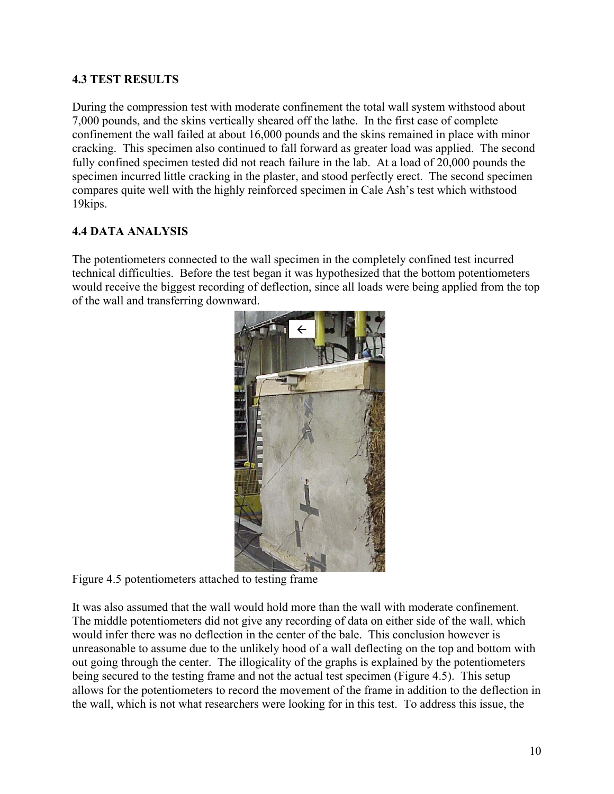## **4.3 TEST RESULTS**

During the compression test with moderate confinement the total wall system withstood about 7,000 pounds, and the skins vertically sheared off the lathe. In the first case of complete confinement the wall failed at about 16,000 pounds and the skins remained in place with minor cracking. This specimen also continued to fall forward as greater load was applied. The second fully confined specimen tested did not reach failure in the lab. At a load of 20,000 pounds the specimen incurred little cracking in the plaster, and stood perfectly erect. The second specimen compares quite well with the highly reinforced specimen in Cale Ash's test which withstood 19kips.

## **4.4 DATA ANALYSIS**

The potentiometers connected to the wall specimen in the completely confined test incurred technical difficulties. Before the test began it was hypothesized that the bottom potentiometers would receive the biggest recording of deflection, since all loads were being applied from the top of the wall and transferring downward.



Figure 4.5 potentiometers attached to testing frame

It was also assumed that the wall would hold more than the wall with moderate confinement. The middle potentiometers did not give any recording of data on either side of the wall, which would infer there was no deflection in the center of the bale. This conclusion however is unreasonable to assume due to the unlikely hood of a wall deflecting on the top and bottom with out going through the center. The illogicality of the graphs is explained by the potentiometers being secured to the testing frame and not the actual test specimen (Figure 4.5). This setup allows for the potentiometers to record the movement of the frame in addition to the deflection in the wall, which is not what researchers were looking for in this test. To address this issue, the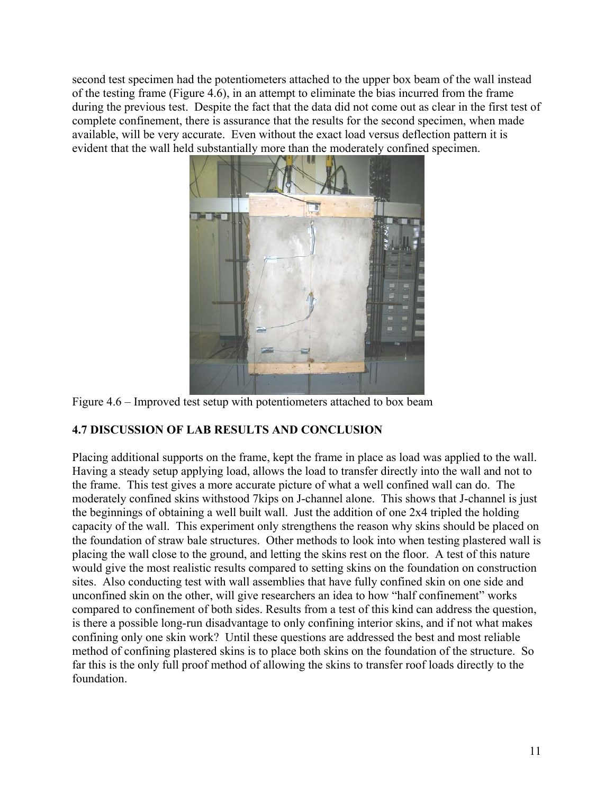second test specimen had the potentiometers attached to the upper box beam of the wall instead of the testing frame (Figure 4.6), in an attempt to eliminate the bias incurred from the frame during the previous test. Despite the fact that the data did not come out as clear in the first test of complete confinement, there is assurance that the results for the second specimen, when made available, will be very accurate. Even without the exact load versus deflection pattern it is evident that the wall held substantially more than the moderately confined specimen.



Figure 4.6 – Improved test setup with potentiometers attached to box beam

## **4.7 DISCUSSION OF LAB RESULTS AND CONCLUSION**

Placing additional supports on the frame, kept the frame in place as load was applied to the wall. Having a steady setup applying load, allows the load to transfer directly into the wall and not to the frame. This test gives a more accurate picture of what a well confined wall can do. The moderately confined skins withstood 7kips on J-channel alone. This shows that J-channel is just the beginnings of obtaining a well built wall. Just the addition of one 2x4 tripled the holding capacity of the wall. This experiment only strengthens the reason why skins should be placed on the foundation of straw bale structures. Other methods to look into when testing plastered wall is placing the wall close to the ground, and letting the skins rest on the floor. A test of this nature would give the most realistic results compared to setting skins on the foundation on construction sites. Also conducting test with wall assemblies that have fully confined skin on one side and unconfined skin on the other, will give researchers an idea to how "half confinement" works compared to confinement of both sides. Results from a test of this kind can address the question, is there a possible long-run disadvantage to only confining interior skins, and if not what makes confining only one skin work? Until these questions are addressed the best and most reliable method of confining plastered skins is to place both skins on the foundation of the structure. So far this is the only full proof method of allowing the skins to transfer roof loads directly to the foundation.